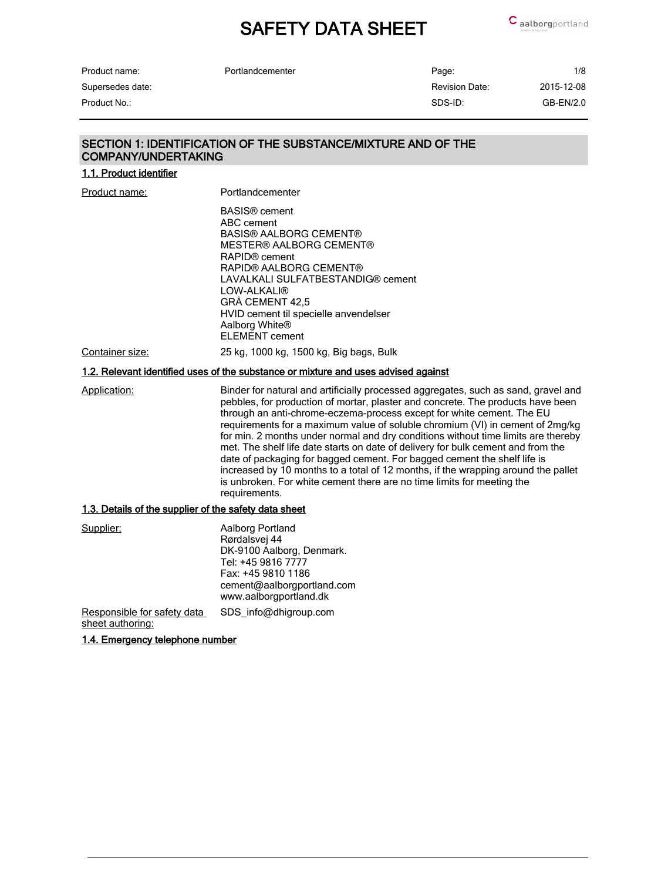| Portlandcementer | Page: |
|------------------|-------|
|------------------|-------|

Product name: Supersedes date:

| Product name:    | Portlandcementer | Page:          | 1/8         |
|------------------|------------------|----------------|-------------|
| Supersedes date: |                  | Revision Date: | 2015-12-08  |
| Product No.:     |                  | SDS-ID:        | $GB-EN/2.0$ |

### SECTION 1: IDENTIFICATION OF THE SUBSTANCE/MIXTURE AND OF THE COMPANY/UNDERTAKING

1.1. Product identifier

| Product name:                                         | Portlandcementer                                                                                                                                                                                                                                                                                                                                                                                                                                                                                                                                                                                                                                                                                                                                                     |
|-------------------------------------------------------|----------------------------------------------------------------------------------------------------------------------------------------------------------------------------------------------------------------------------------------------------------------------------------------------------------------------------------------------------------------------------------------------------------------------------------------------------------------------------------------------------------------------------------------------------------------------------------------------------------------------------------------------------------------------------------------------------------------------------------------------------------------------|
|                                                       | <b>BASIS®</b> cement<br>ABC cement<br><b>BASIS® AALBORG CEMENT®</b><br><b>MESTER® AALBORG CEMENT®</b><br>RAPID <sup>®</sup> cement<br>RAPID® AALBORG CEMENT®<br>LAVALKALI SULFATBESTANDIG® cement<br>LOW-ALKALI®<br>GRĂ CEMENT 42,5<br>HVID cement til specielle anvendelser<br>Aalborg White <sup>®</sup><br><b>ELEMENT</b> cement                                                                                                                                                                                                                                                                                                                                                                                                                                  |
| Container size:                                       | 25 kg, 1000 kg, 1500 kg, Big bags, Bulk                                                                                                                                                                                                                                                                                                                                                                                                                                                                                                                                                                                                                                                                                                                              |
|                                                       | 1.2. Relevant identified uses of the substance or mixture and uses advised against                                                                                                                                                                                                                                                                                                                                                                                                                                                                                                                                                                                                                                                                                   |
| Application:                                          | Binder for natural and artificially processed aggregates, such as sand, gravel and<br>pebbles, for production of mortar, plaster and concrete. The products have been<br>through an anti-chrome-eczema-process except for white cement. The EU<br>requirements for a maximum value of soluble chromium (VI) in cement of 2mg/kg<br>for min. 2 months under normal and dry conditions without time limits are thereby<br>met. The shelf life date starts on date of delivery for bulk cement and from the<br>date of packaging for bagged cement. For bagged cement the shelf life is<br>increased by 10 months to a total of 12 months, if the wrapping around the pallet<br>is unbroken. For white cement there are no time limits for meeting the<br>requirements. |
| 1.3. Details of the supplier of the safety data sheet |                                                                                                                                                                                                                                                                                                                                                                                                                                                                                                                                                                                                                                                                                                                                                                      |
| Supplier:                                             | Aalborg Portland<br>Rørdalsvej 44<br>DK-9100 Aalborg, Denmark.<br>Tel: +45 9816 7777<br>Fax: +45 9810 1186<br>cement@aalborgportland.com<br>www.aalborgportland.dk                                                                                                                                                                                                                                                                                                                                                                                                                                                                                                                                                                                                   |
| Responsible for safety data<br>sheet authoring:       | SDS_info@dhigroup.com                                                                                                                                                                                                                                                                                                                                                                                                                                                                                                                                                                                                                                                                                                                                                |

1.4. Emergency telephone number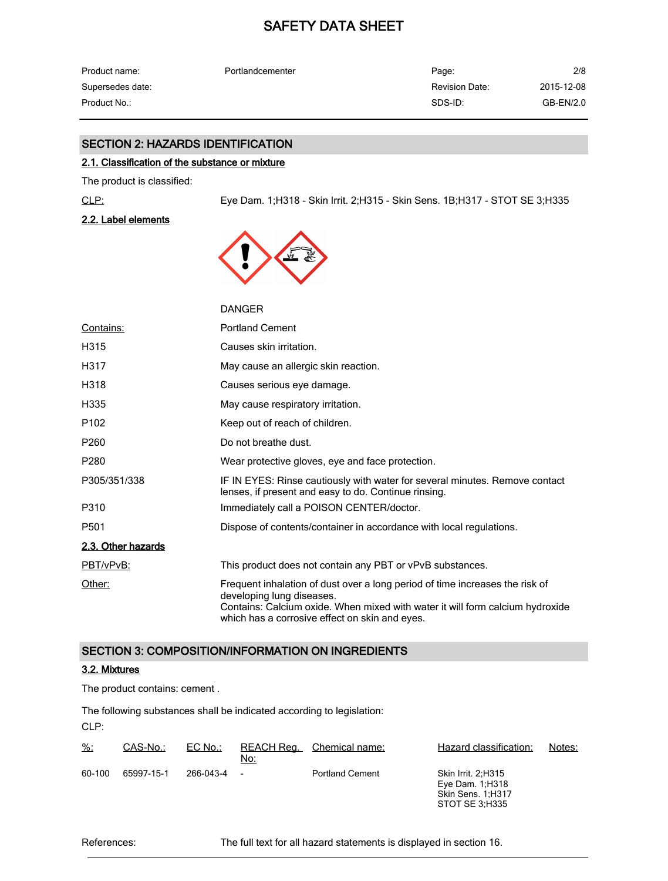| Product name:    | Portlandcementer | Page:          | 2/8        |
|------------------|------------------|----------------|------------|
| Supersedes date: |                  | Revision Date: | 2015-12-08 |
| Product No.:     |                  | SDS-ID:        | GB-EN/2.0  |

#### SECTION 2: HAZARDS IDENTIFICATION

#### 2.1. Classification of the substance or mixture

The product is classified:

CLP: Eye Dam. 1;H318 - Skin Irrit. 2;H315 - Skin Sens. 1B;H317 - STOT SE 3;H335

2.2. Label elements



|                    | <b>DANGER</b>                                                                                                                                                                                                                                |
|--------------------|----------------------------------------------------------------------------------------------------------------------------------------------------------------------------------------------------------------------------------------------|
| Contains:          | <b>Portland Cement</b>                                                                                                                                                                                                                       |
| H315               | Causes skin irritation.                                                                                                                                                                                                                      |
| H317               | May cause an allergic skin reaction.                                                                                                                                                                                                         |
| H318               | Causes serious eye damage.                                                                                                                                                                                                                   |
| H335               | May cause respiratory irritation.                                                                                                                                                                                                            |
| P <sub>102</sub>   | Keep out of reach of children.                                                                                                                                                                                                               |
| P <sub>260</sub>   | Do not breathe dust.                                                                                                                                                                                                                         |
| P <sub>280</sub>   | Wear protective gloves, eye and face protection.                                                                                                                                                                                             |
| P305/351/338       | IF IN EYES: Rinse cautiously with water for several minutes. Remove contact<br>lenses, if present and easy to do. Continue rinsing.                                                                                                          |
| P310               | Immediately call a POISON CENTER/doctor.                                                                                                                                                                                                     |
| P <sub>501</sub>   | Dispose of contents/container in accordance with local regulations.                                                                                                                                                                          |
| 2.3. Other hazards |                                                                                                                                                                                                                                              |
| PBT/vPvB:          | This product does not contain any PBT or vPvB substances.                                                                                                                                                                                    |
| Other:             | Frequent inhalation of dust over a long period of time increases the risk of<br>developing lung diseases.<br>Contains: Calcium oxide. When mixed with water it will form calcium hydroxide<br>which has a corrosive effect on skin and eyes. |

#### SECTION 3: COMPOSITION/INFORMATION ON INGREDIENTS

#### 3.2. Mixtures

The product contains: cement .

CLP: The following substances shall be indicated according to legislation:

| $\frac{9}{6}$ : | CAS-No.:   | $EC$ No.: | REACH Rea.<br>No:        | Chemical name:         | Hazard classification:                                              | Notes: |
|-----------------|------------|-----------|--------------------------|------------------------|---------------------------------------------------------------------|--------|
| 60-100          | 65997-15-1 | 266-043-4 | $\overline{\phantom{a}}$ | <b>Portland Cement</b> | <b>Skin Irrit. 2:H315</b><br>Eye Dam. 1; H318<br>Skin Sens. 1, H317 |        |

References: The full text for all hazard statements is displayed in section 16.

STOT SE 3;H335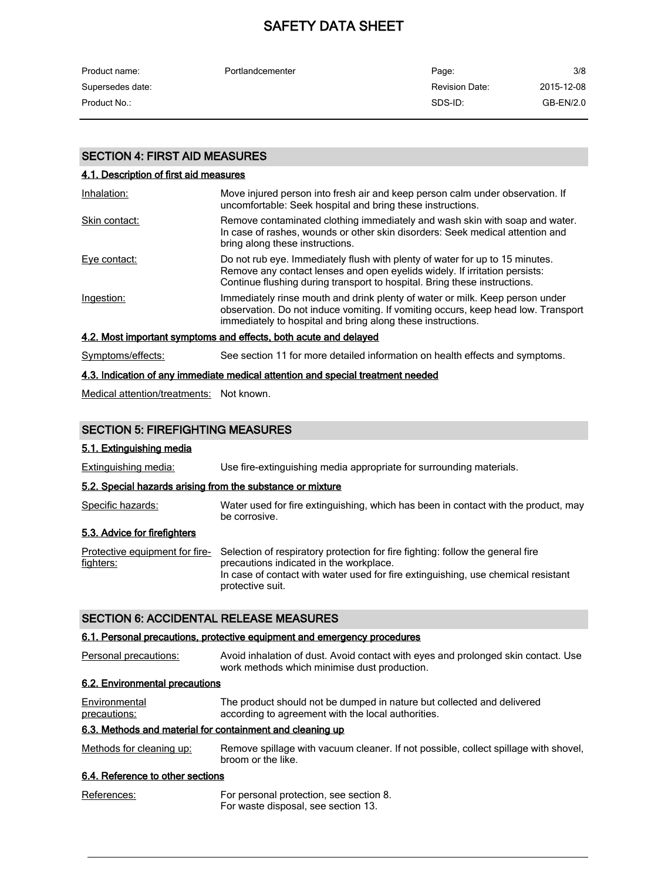| Product name:    | Portlandcementer | Page:                 | 3/8         |
|------------------|------------------|-----------------------|-------------|
| Supersedes date: |                  | <b>Revision Date:</b> | 2015-12-08  |
| Product No.:     |                  | SDS-ID:               | $GB-EN/2.0$ |

#### SECTION 4: FIRST AID MEASURES

|  |  | 4.1. Description of first aid measures |
|--|--|----------------------------------------|
|  |  |                                        |

| Inhalation:   | Move injured person into fresh air and keep person calm under observation. If<br>uncomfortable: Seek hospital and bring these instructions.                                                                                             |
|---------------|-----------------------------------------------------------------------------------------------------------------------------------------------------------------------------------------------------------------------------------------|
| Skin contact: | Remove contaminated clothing immediately and wash skin with soap and water.<br>In case of rashes, wounds or other skin disorders: Seek medical attention and<br>bring along these instructions.                                         |
| Eye contact:  | Do not rub eye. Immediately flush with plenty of water for up to 15 minutes.<br>Remove any contact lenses and open eyelids widely. If irritation persists:<br>Continue flushing during transport to hospital. Bring these instructions. |
| Ingestion:    | Immediately rinse mouth and drink plenty of water or milk. Keep person under<br>observation. Do not induce vomiting. If vomiting occurs, keep head low. Transport<br>immediately to hospital and bring along these instructions.        |
|               | 4.2. Most important symptoms and effects, both acute and delayed                                                                                                                                                                        |

Symptoms/effects: See section 11 for more detailed information on health effects and symptoms.

#### 4.3. Indication of any immediate medical attention and special treatment needed

Medical attention/treatments: Not known.

#### SECTION 5: FIREFIGHTING MEASURES

#### 5.1. Extinguishing media

Extinguishing media: Use fire-extinguishing media appropriate for surrounding materials.

#### 5.2. Special hazards arising from the substance or mixture

Specific hazards: Water used for fire extinguishing, which has been in contact with the product, may be corrosive.

#### 5.3. Advice for firefighters

Protective equipment for fire- Selection of respiratory protection for fire fighting: follow the general fire fighters: precautions indicated in the workplace. In case of contact with water used for fire extinguishing, use chemical resistant protective suit.

#### SECTION 6: ACCIDENTAL RELEASE MEASURES

#### 6.1. Personal precautions, protective equipment and emergency procedures

| Personal precautions:          | Avoid inhalation of dust. Avoid contact with eyes and prolonged skin contact. Use |
|--------------------------------|-----------------------------------------------------------------------------------|
|                                | work methods which minimise dust production.                                      |
| 6.2. Environmental precautions |                                                                                   |

| Environmental | The product should not be dumped in nature but collected and delivered |
|---------------|------------------------------------------------------------------------|
| precautions:  | according to agreement with the local authorities.                     |

#### 6.3. Methods and material for containment and cleaning up

Methods for cleaning up: Remove spillage with vacuum cleaner. If not possible, collect spillage with shovel, broom or the like.

#### 6.4. Reference to other sections

| References: | For personal protection, see section 8. |
|-------------|-----------------------------------------|
|             | For waste disposal, see section 13.     |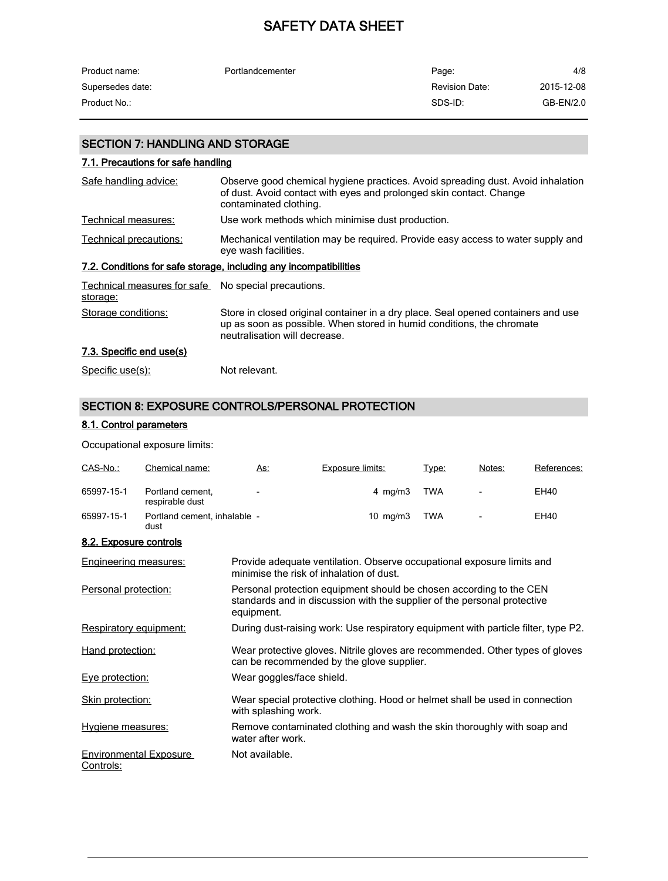| Product name:    | Portlandcementer | Page:                 | 4/8        |
|------------------|------------------|-----------------------|------------|
| Supersedes date: |                  | <b>Revision Date:</b> | 2015-12-08 |
| Product No.:     |                  | SDS-ID:               | GB-EN/2.0  |

## SECTION 7: HANDLING AND STORAGE

| 7.1. Precautions for safe handling      |                                                                                                                                                                                             |
|-----------------------------------------|---------------------------------------------------------------------------------------------------------------------------------------------------------------------------------------------|
| Safe handling advice:                   | Observe good chemical hygiene practices. Avoid spreading dust. Avoid inhalation<br>of dust. Avoid contact with eyes and prolonged skin contact. Change<br>contaminated clothing.            |
| Technical measures:                     | Use work methods which minimise dust production.                                                                                                                                            |
| Technical precautions:                  | Mechanical ventilation may be required. Provide easy access to water supply and<br>eye wash facilities.                                                                                     |
|                                         | 7.2. Conditions for safe storage, including any incompatibilities                                                                                                                           |
| Technical measures for safe<br>storage: | No special precautions.                                                                                                                                                                     |
| Storage conditions:                     | Store in closed original container in a dry place. Seal opened containers and use<br>up as soon as possible. When stored in humid conditions, the chromate<br>neutralisation will decrease. |
| 7.3. Specific end use(s)                |                                                                                                                                                                                             |
| Specific use(s):                        | Not relevant.                                                                                                                                                                               |

## SECTION 8: EXPOSURE CONTROLS/PERSONAL PROTECTION

#### 8.1. Control parameters

#### Occupational exposure limits:

| CAS-No.:                                   | Chemical name:                       | <u>As:</u>                | Exposure limits:                                                                                                                                | Type:      | Notes: | References: |
|--------------------------------------------|--------------------------------------|---------------------------|-------------------------------------------------------------------------------------------------------------------------------------------------|------------|--------|-------------|
| 65997-15-1                                 | Portland cement.<br>respirable dust  |                           | 4 mg/m $3$                                                                                                                                      | <b>TWA</b> |        | <b>EH40</b> |
| 65997-15-1                                 | Portland cement. inhalable -<br>dust |                           | $10 \text{ mg/m}$                                                                                                                               | <b>TWA</b> |        | EH40        |
| 8.2. Exposure controls                     |                                      |                           |                                                                                                                                                 |            |        |             |
| <b>Engineering measures:</b>               |                                      |                           | Provide adequate ventilation. Observe occupational exposure limits and<br>minimise the risk of inhalation of dust.                              |            |        |             |
| Personal protection:                       |                                      | equipment.                | Personal protection equipment should be chosen according to the CEN<br>standards and in discussion with the supplier of the personal protective |            |        |             |
| Respiratory equipment:                     |                                      |                           | During dust-raising work: Use respiratory equipment with particle filter, type P2.                                                              |            |        |             |
| Hand protection:                           |                                      |                           | Wear protective gloves. Nitrile gloves are recommended. Other types of gloves<br>can be recommended by the glove supplier.                      |            |        |             |
| Eve protection:                            |                                      | Wear goggles/face shield. |                                                                                                                                                 |            |        |             |
| <b>Skin protection:</b>                    |                                      | with splashing work.      | Wear special protective clothing. Hood or helmet shall be used in connection                                                                    |            |        |             |
| Hygiene measures:                          |                                      | water after work.         | Remove contaminated clothing and wash the skin thoroughly with soap and                                                                         |            |        |             |
| <b>Environmental Exposure</b><br>Controls: |                                      | Not available.            |                                                                                                                                                 |            |        |             |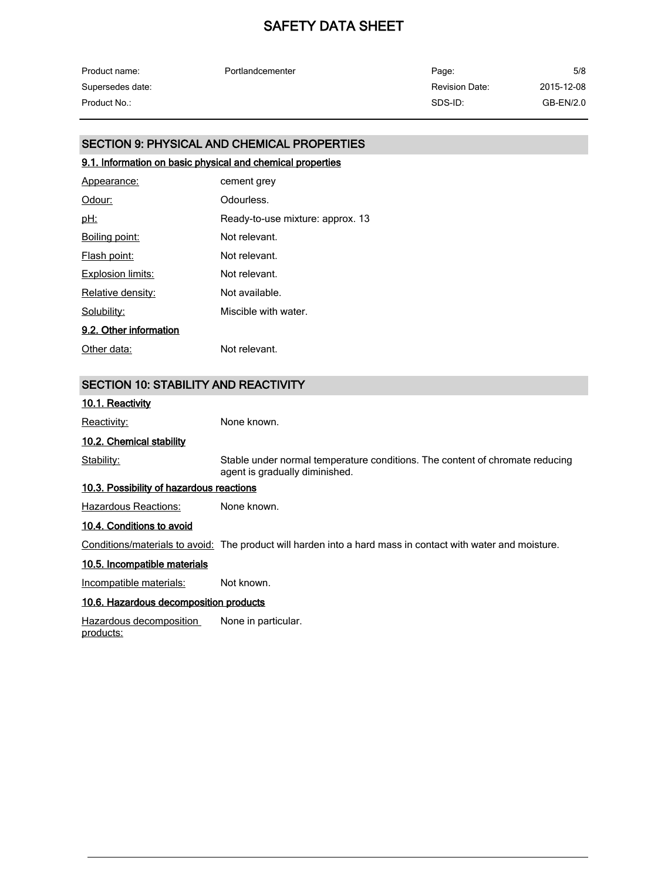| Product name:    | Portlandcementer | Page:                 | 5/8        |
|------------------|------------------|-----------------------|------------|
| Supersedes date: |                  | <b>Revision Date:</b> | 2015-12-08 |
| Product No.:     |                  | SDS-ID:               | GB-EN/2.0  |

#### SECTION 9: PHYSICAL AND CHEMICAL PROPERTIES

#### 9.1. Information on basic physical and chemical properties

| Appearance:            | cement grey                      |
|------------------------|----------------------------------|
| Odour:                 | Odourless.                       |
| <u>pH:</u>             | Ready-to-use mixture: approx. 13 |
| Boiling point:         | Not relevant.                    |
| <b>Flash point:</b>    | Not relevant.                    |
| Explosion limits:      | Not relevant.                    |
| Relative density:      | Not available.                   |
| Solubility:            | Miscible with water.             |
| 9.2. Other information |                                  |
| Other data:            | Not relevant.                    |

#### SECTION 10: STABILITY AND REACTIVITY

#### 10.1. Reactivity

Reactivity: None known.

#### 10.2. Chemical stability

Stability: Stable under normal temperature conditions. The content of chromate reducing agent is gradually diminished.

#### 10.3. Possibility of hazardous reactions

Hazardous Reactions: None known.

#### 10.4. Conditions to avoid

Conditions/materials to avoid: The product will harden into a hard mass in contact with water and moisture.

#### 10.5. Incompatible materials

Incompatible materials: Not known.

#### 10.6. Hazardous decomposition products

Hazardous decomposition products: None in particular.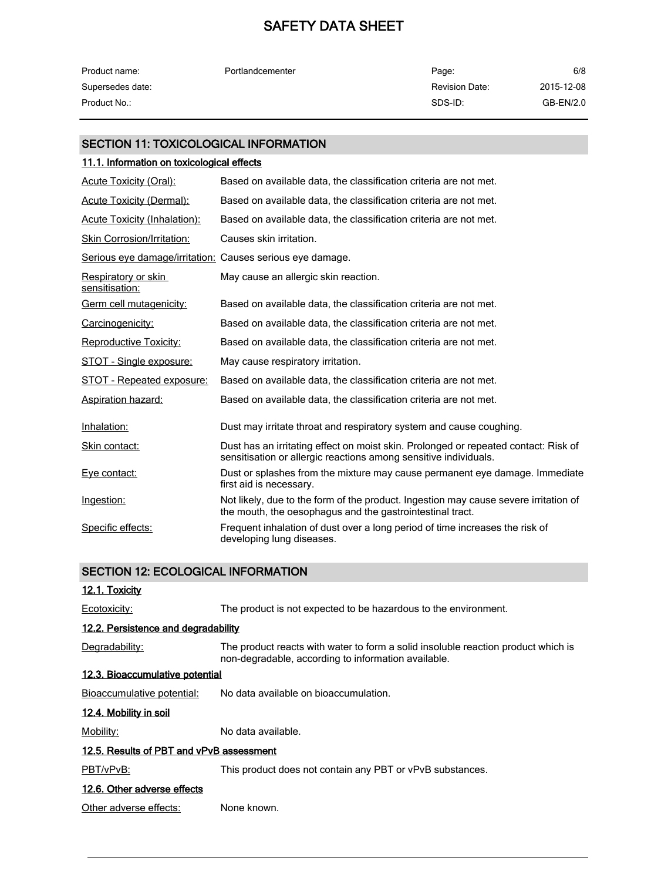| Product name:    | Portlandcementer | Page:          | 6/8        |
|------------------|------------------|----------------|------------|
| Supersedes date: |                  | Revision Date: | 2015-12-08 |
| Product No.:     |                  | SDS-ID:        | GB-EN/2.0  |

#### SECTION 11: TOXICOLOGICAL INFORMATION

#### 11.1. Information on toxicological effects

| Acute Toxicity (Oral):                                    | Based on available data, the classification criteria are not met.                                                                                       |
|-----------------------------------------------------------|---------------------------------------------------------------------------------------------------------------------------------------------------------|
| <b>Acute Toxicity (Dermal):</b>                           | Based on available data, the classification criteria are not met.                                                                                       |
| <b>Acute Toxicity (Inhalation):</b>                       | Based on available data, the classification criteria are not met.                                                                                       |
| Skin Corrosion/Irritation:                                | Causes skin irritation.                                                                                                                                 |
| Serious eye damage/irritation: Causes serious eye damage. |                                                                                                                                                         |
| Respiratory or skin<br>sensitisation:                     | May cause an allergic skin reaction.                                                                                                                    |
| Germ cell mutagenicity:                                   | Based on available data, the classification criteria are not met.                                                                                       |
| Carcinogenicity:                                          | Based on available data, the classification criteria are not met.                                                                                       |
| Reproductive Toxicity:                                    | Based on available data, the classification criteria are not met.                                                                                       |
| STOT - Single exposure:                                   | May cause respiratory irritation.                                                                                                                       |
| STOT - Repeated exposure:                                 | Based on available data, the classification criteria are not met.                                                                                       |
| <b>Aspiration hazard:</b>                                 | Based on available data, the classification criteria are not met.                                                                                       |
| Inhalation:                                               | Dust may irritate throat and respiratory system and cause coughing.                                                                                     |
| Skin contact:                                             | Dust has an irritating effect on moist skin. Prolonged or repeated contact: Risk of<br>sensitisation or allergic reactions among sensitive individuals. |
| Eye contact:                                              | Dust or splashes from the mixture may cause permanent eye damage. Immediate<br>first aid is necessary.                                                  |
| Ingestion:                                                | Not likely, due to the form of the product. Ingestion may cause severe irritation of<br>the mouth, the oesophagus and the gastrointestinal tract.       |
| Specific effects:                                         | Frequent inhalation of dust over a long period of time increases the risk of<br>developing lung diseases.                                               |

#### SECTION 12: ECOLOGICAL INFORMATION

#### 12.1. Toxicity

Ecotoxicity: The product is not expected to be hazardous to the environment.

#### 12.2. Persistence and degradability

Degradability: The product reacts with water to form a solid insoluble reaction product which is non-degradable, according to information available.

#### 12.3. Bioaccumulative potential

Bioaccumulative potential: No data available on bioaccumulation.

#### 12.4. Mobility in soil

Mobility: Modata available.

### 12.5. Results of PBT and vPvB assessment

PBT/vPvB: This product does not contain any PBT or vPvB substances.

### 12.6. Other adverse effects

Other adverse effects: None known.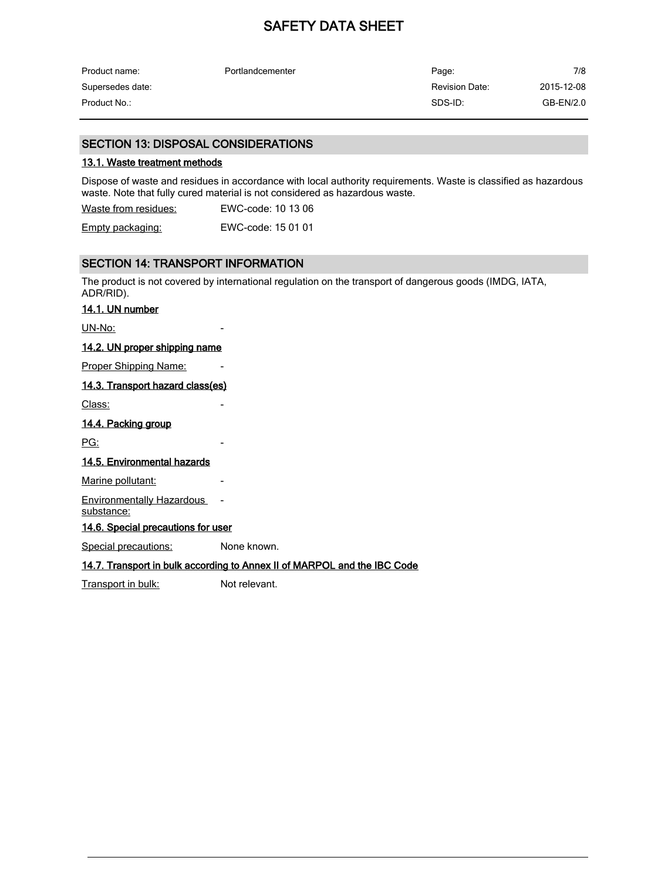| Product name:    | Portlandcementer | Page:          | 7/8        |
|------------------|------------------|----------------|------------|
| Supersedes date: |                  | Revision Date: | 2015-12-08 |
| Product No.:     |                  | SDS-ID:        | GB-EN/2.0  |

#### SECTION 13: DISPOSAL CONSIDERATIONS

#### 13.1. Waste treatment methods

Dispose of waste and residues in accordance with local authority requirements. Waste is classified as hazardous waste. Note that fully cured material is not considered as hazardous waste.

Waste from residues: EWC-code: 10 13 06 Empty packaging: EWC-code: 15 01 01

#### SECTION 14: TRANSPORT INFORMATION

The product is not covered by international regulation on the transport of dangerous goods (IMDG, IATA, ADR/RID).

#### 14.1. UN number

UN-No:

#### 14.2. UN proper shipping name

Proper Shipping Name:

#### 14.3. Transport hazard class(es)

Class:

#### 14.4. Packing group

<u>PG:</u>

#### 14.5. Environmental hazards

Marine pollutant:

Environmentally Hazardous -

substance:

14.6. Special precautions for user

Special precautions: None known.

#### 14.7. Transport in bulk according to Annex II of MARPOL and the IBC Code

Transport in bulk: Not relevant.